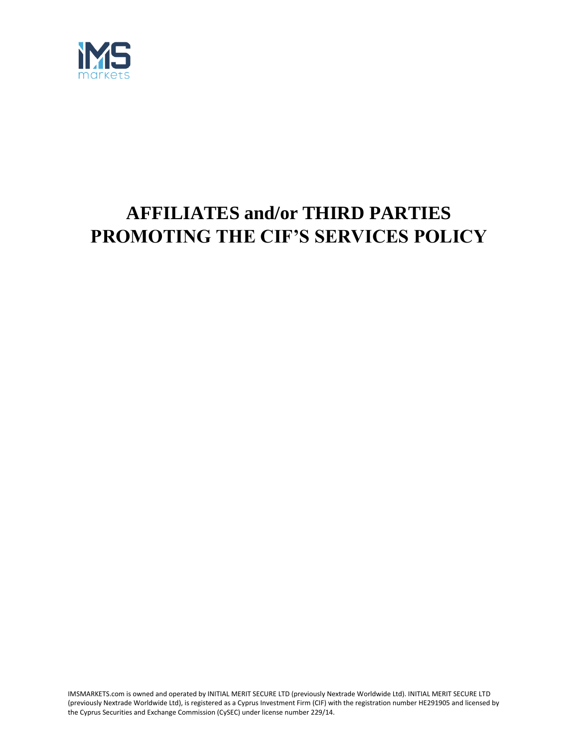

# **AFFILIATES and/or THIRD PARTIES PROMOTING THE CIF'S SERVICES POLICY**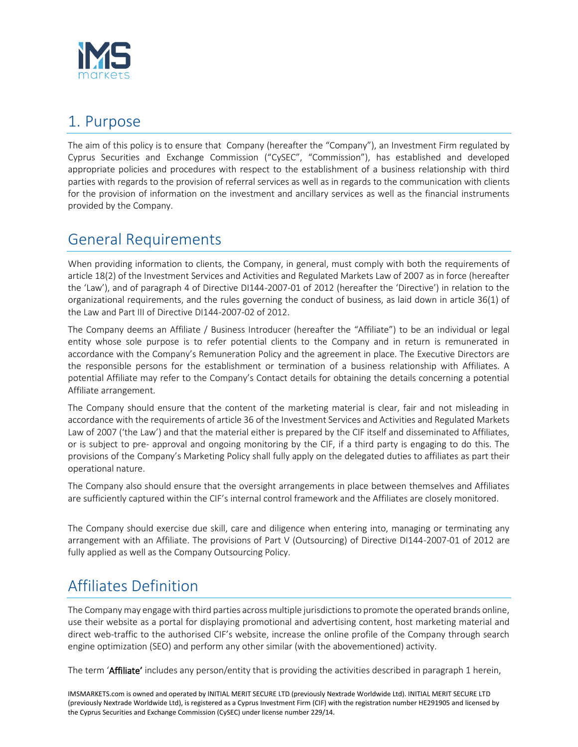

# 1. Purpose

The aim of this policy is to ensure that Company (hereafter the "Company"), an Investment Firm regulated by Cyprus Securities and Exchange Commission ("CySEC", "Commission"), has established and developed appropriate policies and procedures with respect to the establishment of a business relationship with third parties with regards to the provision of referral services as well as in regards to the communication with clients for the provision of information on the investment and ancillary services as well as the financial instruments provided by the Company.

### General Requirements

When providing information to clients, the Company, in general, must comply with both the requirements of article 18(2) of the Investment Services and Activities and Regulated Markets Law of 2007 as in force (hereafter the 'Law'), and of paragraph 4 of Directive DI144-2007-01 of 2012 (hereafter the 'Directive') in relation to the organizational requirements, and the rules governing the conduct of business, as laid down in article 36(1) of the Law and Part III of Directive DI144-2007-02 of 2012.

The Company deems an Affiliate / Business Introducer (hereafter the "Affiliate") to be an individual or legal entity whose sole purpose is to refer potential clients to the Company and in return is remunerated in accordance with the Company's Remuneration Policy and the agreement in place. The Executive Directors are the responsible persons for the establishment or termination of a business relationship with Affiliates. A potential Affiliate may refer to the Company's Contact details for obtaining the details concerning a potential Affiliate arrangement.

The Company should ensure that the content of the marketing material is clear, fair and not misleading in accordance with the requirements of article 36 of the Investment Services and Activities and Regulated Markets Law of 2007 ('the Law') and that the material either is prepared by the CIF itself and disseminated to Affiliates, or is subject to pre- approval and ongoing monitoring by the CIF, if a third party is engaging to do this. The provisions of the Company's Marketing Policy shall fully apply on the delegated duties to affiliates as part their operational nature.

The Company also should ensure that the oversight arrangements in place between themselves and Affiliates are sufficiently captured within the CIF's internal control framework and the Affiliates are closely monitored.

The Company should exercise due skill, care and diligence when entering into, managing or terminating any arrangement with an Affiliate. The provisions of Part V (Outsourcing) of Directive DI144-2007-01 of 2012 are fully applied as well as the Company Outsourcing Policy.

# Affiliates Definition

The Company may engage with third parties across multiple jurisdictions to promote the operated brands online, use their website as a portal for displaying promotional and advertising content, host marketing material and direct web-traffic to the authorised CIF's website, increase the online profile of the Company through search engine optimization (SEO) and perform any other similar (with the abovementioned) activity.

The term 'Affiliate' includes any person/entity that is providing the activities described in paragraph 1 herein,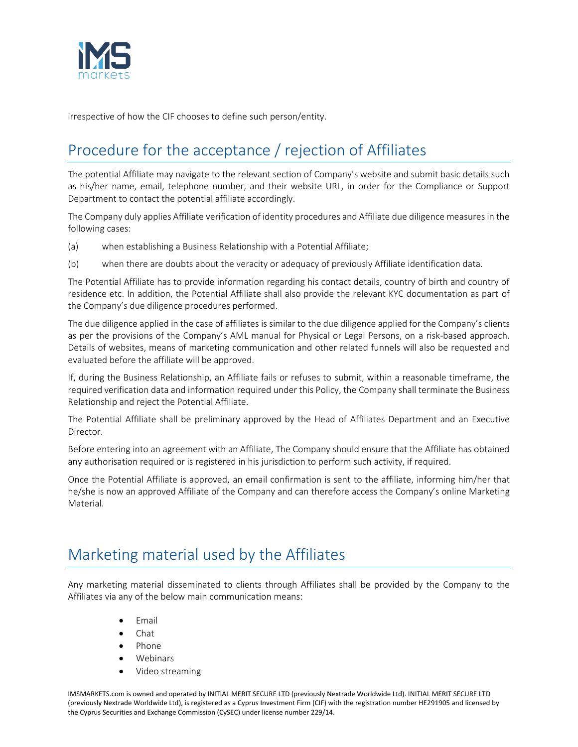

irrespective of how the CIF chooses to define such person/entity.

# Procedure for the acceptance / rejection of Affiliates

The potential Affiliate may navigate to the relevant section of Company's website and submit basic details such as his/her name, email, telephone number, and their website URL, in order for the Compliance or Support Department to contact the potential affiliate accordingly.

The Company duly applies Affiliate verification of identity procedures and Affiliate due diligence measures in the following cases:

- (a) when establishing a Business Relationship with a Potential Affiliate;
- (b) when there are doubts about the veracity or adequacy of previously Affiliate identification data.

The Potential Affiliate has to provide information regarding his contact details, country of birth and country of residence etc. In addition, the Potential Affiliate shall also provide the relevant KYC documentation as part of the Company's due diligence procedures performed.

The due diligence applied in the case of affiliates is similar to the due diligence applied for the Company's clients as per the provisions of the Company's AML manual for Physical or Legal Persons, on a risk-based approach. Details of websites, means of marketing communication and other related funnels will also be requested and evaluated before the affiliate will be approved.

If, during the Business Relationship, an Affiliate fails or refuses to submit, within a reasonable timeframe, the required verification data and information required under this Policy, the Company shall terminate the Business Relationship and reject the Potential Affiliate.

The Potential Affiliate shall be preliminary approved by the Head of Affiliates Department and an Executive Director.

Before entering into an agreement with an Affiliate, The Company should ensure that the Affiliate has obtained any authorisation required or is registered in his jurisdiction to perform such activity, if required.

Once the Potential Affiliate is approved, an email confirmation is sent to the affiliate, informing him/her that he/she is now an approved Affiliate of the Company and can therefore access the Company's online Marketing Material.

### Marketing material used by the Affiliates

Any marketing material disseminated to clients through Affiliates shall be provided by the Company to the Affiliates via any of the below main communication means:

- Email
- Chat
- Phone
- Webinars
- Video streaming

IMSMARKETS.com is owned and operated by INITIAL MERIT SECURE LTD (previously Nextrade Worldwide Ltd). INITIAL MERIT SECURE LTD (previously Nextrade Worldwide Ltd), is registered as a Cyprus Investment Firm (CIF) with the registration number HE291905 and licensed by the Cyprus Securities and Exchange Commission (CySEC) under license number 229/14.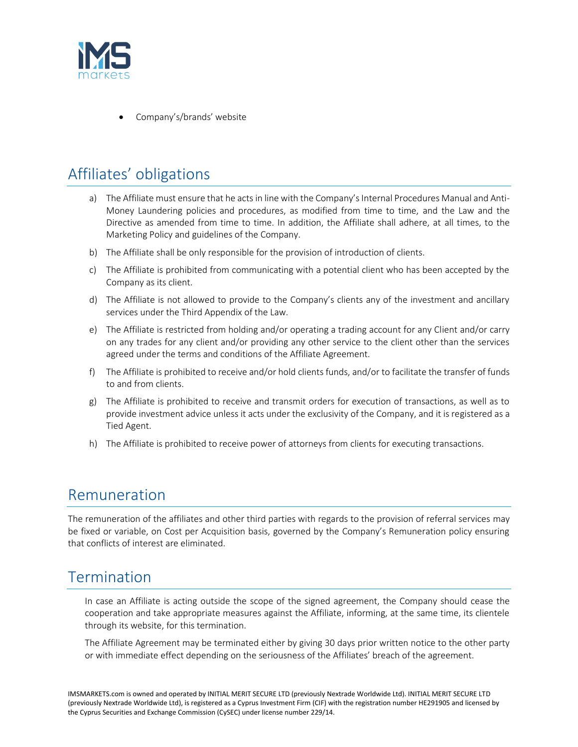

• Company's/brands' website

# Affiliates' obligations

- a) The Affiliate must ensure that he acts in line with the Company's Internal Procedures Manual and Anti-Money Laundering policies and procedures, as modified from time to time, and the Law and the Directive as amended from time to time. In addition, the Affiliate shall adhere, at all times, to the Marketing Policy and guidelines of the Company.
- b) The Affiliate shall be only responsible for the provision of introduction of clients.
- c) The Affiliate is prohibited from communicating with a potential client who has been accepted by the Company as its client.
- d) The Affiliate is not allowed to provide to the Company's clients any of the investment and ancillary services under the Third Appendix of the Law.
- e) The Affiliate is restricted from holding and/or operating a trading account for any Client and/or carry on any trades for any client and/or providing any other service to the client other than the services agreed under the terms and conditions of the Affiliate Agreement.
- f) The Affiliate is prohibited to receive and/or hold clients funds, and/or to facilitate the transfer of funds to and from clients.
- g) The Affiliate is prohibited to receive and transmit orders for execution of transactions, as well as to provide investment advice unless it acts under the exclusivity of the Company, and it is registered as a Tied Agent.
- h) The Affiliate is prohibited to receive power of attorneys from clients for executing transactions.

#### Remuneration

The remuneration of the affiliates and other third parties with regards to the provision of referral services may be fixed or variable, on Cost per Acquisition basis, governed by the Company's Remuneration policy ensuring that conflicts of interest are eliminated.

### Termination

In case an Affiliate is acting outside the scope of the signed agreement, the Company should cease the cooperation and take appropriate measures against the Affiliate, informing, at the same time, its clientele through its website, for this termination.

The Affiliate Agreement may be terminated either by giving 30 days prior written notice to the other party or with immediate effect depending on the seriousness of the Affiliates' breach of the agreement.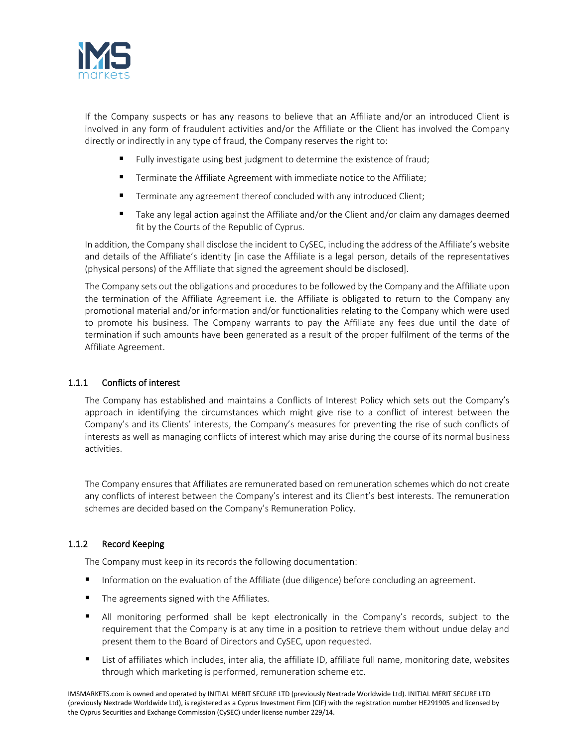

If the Company suspects or has any reasons to believe that an Affiliate and/or an introduced Client is involved in any form of fraudulent activities and/or the Affiliate or the Client has involved the Company directly or indirectly in any type of fraud, the Company reserves the right to:

- Fully investigate using best judgment to determine the existence of fraud;
- Terminate the Affiliate Agreement with immediate notice to the Affiliate;
- **Terminate any agreement thereof concluded with any introduced Client;**
- Take any legal action against the Affiliate and/or the Client and/or claim any damages deemed fit by the Courts of the Republic of Cyprus.

In addition, the Company shall disclose the incident to CySEC, including the address of the Affiliate's website and details of the Affiliate's identity [in case the Affiliate is a legal person, details of the representatives (physical persons) of the Affiliate that signed the agreement should be disclosed].

The Company sets out the obligations and procedures to be followed by the Company and the Affiliate upon the termination of the Affiliate Agreement i.e. the Affiliate is obligated to return to the Company any promotional material and/or information and/or functionalities relating to the Company which were used to promote his business. The Company warrants to pay the Affiliate any fees due until the date of termination if such amounts have been generated as a result of the proper fulfilment of the terms of the Affiliate Agreement.

#### 1.1.1 Conflicts of interest

The Company has established and maintains a Conflicts of Interest Policy which sets out the Company's approach in identifying the circumstances which might give rise to a conflict of interest between the Company's and its Clients' interests, the Company's measures for preventing the rise of such conflicts of interests as well as managing conflicts of interest which may arise during the course of its normal business activities.

The Company ensures that Affiliates are remunerated based on remuneration schemes which do not create any conflicts of interest between the Company's interest and its Client's best interests. The remuneration schemes are decided based on the Company's Remuneration Policy.

#### 1.1.2 Record Keeping

The Company must keep in its records the following documentation:

- Information on the evaluation of the Affiliate (due diligence) before concluding an agreement.
- The agreements signed with the Affiliates.
- All monitoring performed shall be kept electronically in the Company's records, subject to the requirement that the Company is at any time in a position to retrieve them without undue delay and present them to the Board of Directors and CySEC, upon requested.
- List of affiliates which includes, inter alia, the affiliate ID, affiliate full name, monitoring date, websites through which marketing is performed, remuneration scheme etc.